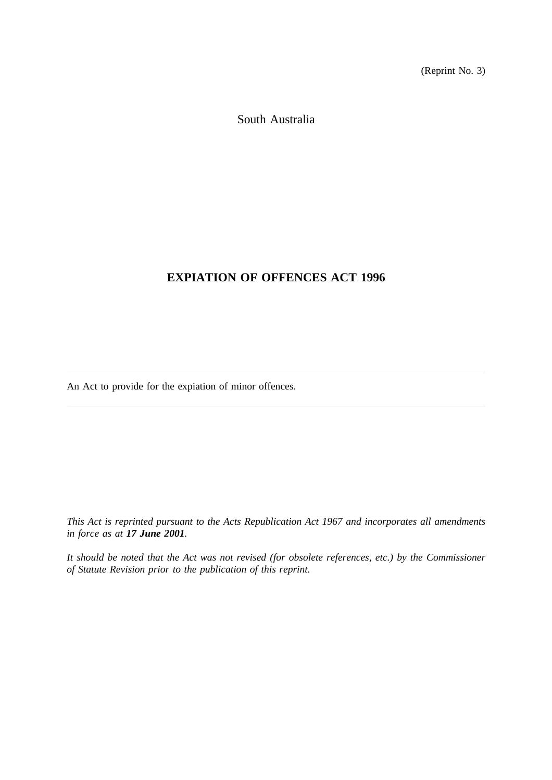(Reprint No. 3)

South Australia

# **EXPIATION OF OFFENCES ACT 1996**

An Act to provide for the expiation of minor offences.

*This Act is reprinted pursuant to the Acts Republication Act 1967 and incorporates all amendments in force as at 17 June 2001.*

*It should be noted that the Act was not revised (for obsolete references, etc.) by the Commissioner of Statute Revision prior to the publication of this reprint.*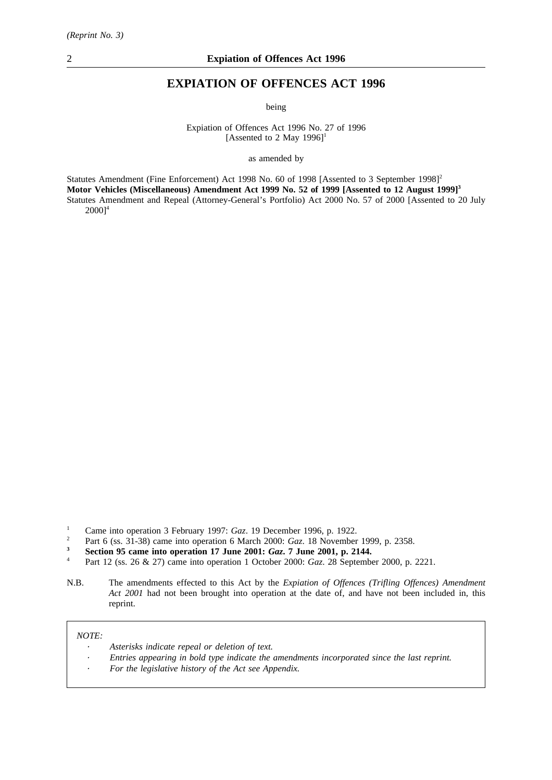# **EXPIATION OF OFFENCES ACT 1996**

being

Expiation of Offences Act 1996 No. 27 of 1996 [Assented to 2 May 1996]<sup>1</sup>

as amended by

Statutes Amendment (Fine Enforcement) Act 1998 No. 60 of 1998 [Assented to 3 September 1998]<sup>2</sup> **Motor Vehicles (Miscellaneous) Amendment Act 1999 No. 52 of 1999 [Assented to 12 August 1999]3** Statutes Amendment and Repeal (Attorney-General's Portfolio) Act 2000 No. 57 of 2000 [Assented to 20 July  $20001^4$ 

- <sup>2</sup> Part 6 (ss. 31-38) came into operation 6 March 2000: *Gaz*. 18 November 1999, p. 2358.<br>5 Section 05 come into operation 17 June 2001: *Gaz*. 7 June 2001, p. 2144
- **3 Section 95 came into operation 17 June 2001:** *Gaz*, **7 June 2001, p. 2144.**<br> $\frac{1}{4}$  **Dott** 12 (ss. 26 & 27) came into operation 1 October 2000: *Gaz*, 28 Soptember

N.B. The amendments effected to this Act by the *Expiation of Offences (Trifling Offences) Amendment Act 2001* had not been brought into operation at the date of, and have not been included in, this reprint.

*NOTE:*

- *Asterisks indicate repeal or deletion of text.*
- *Entries appearing in bold type indicate the amendments incorporated since the last reprint.*
- *For the legislative history of the Act see Appendix.*

<sup>&</sup>lt;sup>1</sup> Came into operation 3 February 1997: *Gaz*. 19 December 1996, p. 1922.<br><sup>2</sup> Part 6 (ss. 31.38) came into operation 6 March 2000: *Gaz*. 18 November

<sup>4</sup> Part 12 (ss. 26 & 27) came into operation 1 October 2000: *Gaz*. 28 September 2000, p. 2221.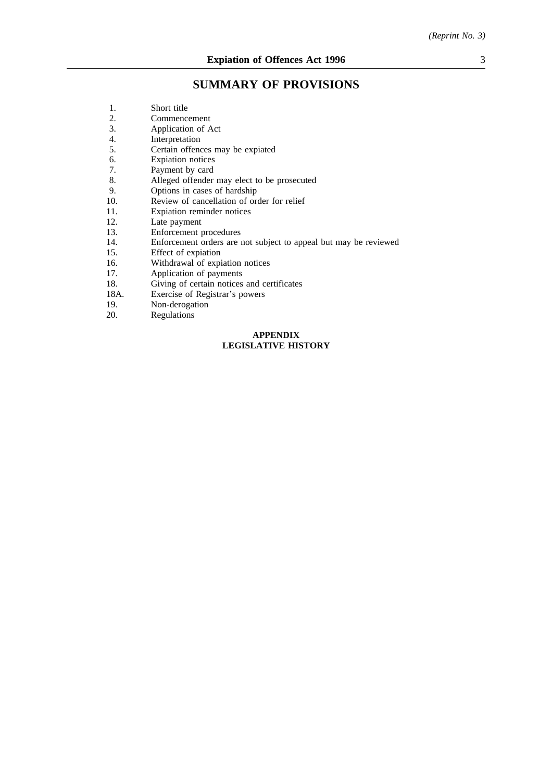# **SUMMARY OF PROVISIONS**

| 1.   | Short title                                                      |
|------|------------------------------------------------------------------|
| 2.   | Commencement                                                     |
| 3.   | Application of Act                                               |
| 4.   | Interpretation                                                   |
| 5.   | Certain offences may be expiated                                 |
| 6.   | <b>Expiation</b> notices                                         |
| 7.   | Payment by card                                                  |
| 8.   | Alleged offender may elect to be prosecuted                      |
| 9.   | Options in cases of hardship                                     |
| 10.  | Review of cancellation of order for relief                       |
| 11.  | Expiation reminder notices                                       |
| 12.  | Late payment                                                     |
| 13.  | Enforcement procedures                                           |
| 14.  | Enforcement orders are not subject to appeal but may be reviewed |
| 15.  | Effect of expiation                                              |
| 16.  | Withdrawal of expiation notices                                  |
| 17.  | Application of payments                                          |
| 18.  | Giving of certain notices and certificates                       |
| 18A. | Exercise of Registrar's powers                                   |
| 19.  | Non-derogation                                                   |
| 20.  | Regulations                                                      |
|      |                                                                  |

# **APPENDIX LEGISLATIVE HISTORY**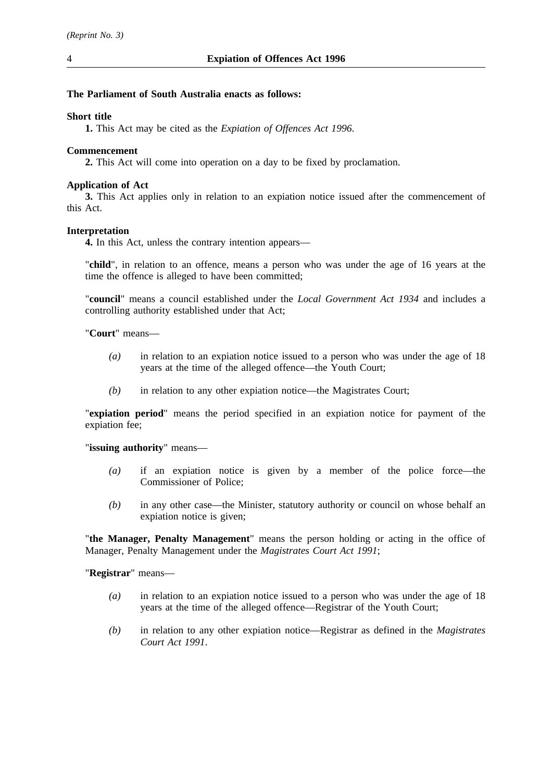4 **Expiation of Offences Act 1996**

## **The Parliament of South Australia enacts as follows:**

## **Short title**

**1.** This Act may be cited as the *Expiation of Offences Act 1996*.

# **Commencement**

**2.** This Act will come into operation on a day to be fixed by proclamation.

# **Application of Act**

**3.** This Act applies only in relation to an expiation notice issued after the commencement of this Act.

# **Interpretation**

**4.** In this Act, unless the contrary intention appears—

"**child**", in relation to an offence, means a person who was under the age of 16 years at the time the offence is alleged to have been committed;

"**council**" means a council established under the *Local Government Act 1934* and includes a controlling authority established under that Act;

"**Court**" means—

- *(a)* in relation to an expiation notice issued to a person who was under the age of 18 years at the time of the alleged offence—the Youth Court;
- *(b)* in relation to any other expiation notice—the Magistrates Court;

"**expiation period**" means the period specified in an expiation notice for payment of the expiation fee;

## "**issuing authority**" means—

- *(a)* if an expiation notice is given by a member of the police force—the Commissioner of Police;
- *(b)* in any other case—the Minister, statutory authority or council on whose behalf an expiation notice is given;

"**the Manager, Penalty Management**" means the person holding or acting in the office of Manager, Penalty Management under the *Magistrates Court Act 1991*;

"**Registrar**" means—

- *(a)* in relation to an expiation notice issued to a person who was under the age of 18 years at the time of the alleged offence—Registrar of the Youth Court;
- *(b)* in relation to any other expiation notice—Registrar as defined in the *Magistrates Court Act 1991*.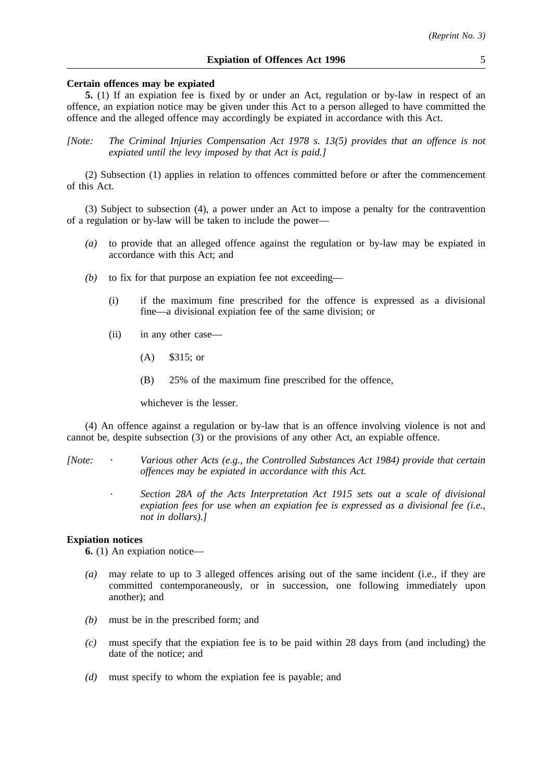## **Certain offences may be expiated**

**5.** (1) If an expiation fee is fixed by or under an Act, regulation or by-law in respect of an offence, an expiation notice may be given under this Act to a person alleged to have committed the offence and the alleged offence may accordingly be expiated in accordance with this Act.

*[Note: The Criminal Injuries Compensation Act 1978 s. 13(5) provides that an offence is not expiated until the levy imposed by that Act is paid.]*

(2) Subsection (1) applies in relation to offences committed before or after the commencement of this Act.

(3) Subject to subsection (4), a power under an Act to impose a penalty for the contravention of a regulation or by-law will be taken to include the power—

- *(a)* to provide that an alleged offence against the regulation or by-law may be expiated in accordance with this Act; and
- *(b)* to fix for that purpose an expiation fee not exceeding—
	- (i) if the maximum fine prescribed for the offence is expressed as a divisional fine—a divisional expiation fee of the same division; or
	- (ii) in any other case—
		- (A) \$315; or
		- (B) 25% of the maximum fine prescribed for the offence,

whichever is the lesser.

(4) An offence against a regulation or by-law that is an offence involving violence is not and cannot be, despite subsection (3) or the provisions of any other Act, an expiable offence.

*[Note: Various other Acts (e.g., the Controlled Substances Act 1984) provide that certain offences may be expiated in accordance with this Act.*

> *Section 28A of the Acts Interpretation Act 1915 sets out a scale of divisional expiation fees for use when an expiation fee is expressed as a divisional fee (i.e., not in dollars).]*

#### **Expiation notices**

**6.** (1) An expiation notice—

- *(a)* may relate to up to 3 alleged offences arising out of the same incident (i.e., if they are committed contemporaneously, or in succession, one following immediately upon another); and
- *(b)* must be in the prescribed form; and
- *(c)* must specify that the expiation fee is to be paid within 28 days from (and including) the date of the notice; and
- *(d)* must specify to whom the expiation fee is payable; and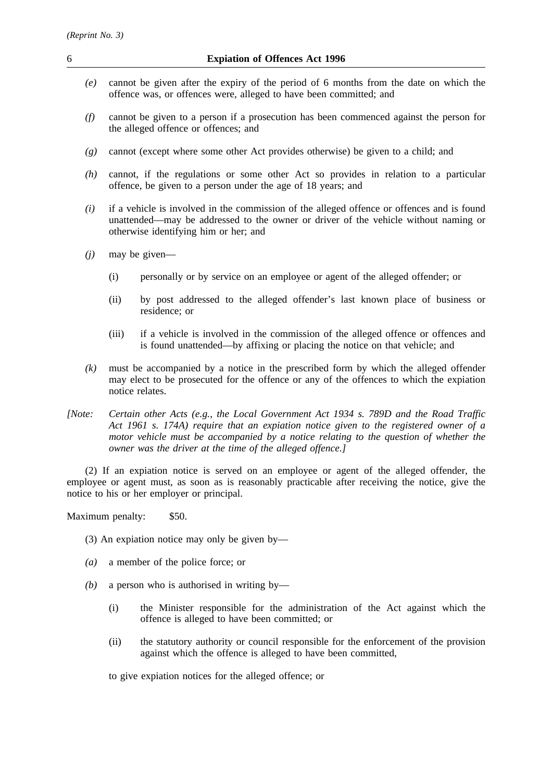- *(e)* cannot be given after the expiry of the period of 6 months from the date on which the offence was, or offences were, alleged to have been committed; and
- *(f)* cannot be given to a person if a prosecution has been commenced against the person for the alleged offence or offences; and
- *(g)* cannot (except where some other Act provides otherwise) be given to a child; and
- *(h)* cannot, if the regulations or some other Act so provides in relation to a particular offence, be given to a person under the age of 18 years; and
- *(i)* if a vehicle is involved in the commission of the alleged offence or offences and is found unattended—may be addressed to the owner or driver of the vehicle without naming or otherwise identifying him or her; and
- *(j)* may be given—
	- (i) personally or by service on an employee or agent of the alleged offender; or
	- (ii) by post addressed to the alleged offender's last known place of business or residence; or
	- (iii) if a vehicle is involved in the commission of the alleged offence or offences and is found unattended—by affixing or placing the notice on that vehicle; and
- *(k)* must be accompanied by a notice in the prescribed form by which the alleged offender may elect to be prosecuted for the offence or any of the offences to which the expiation notice relates.
- *[Note: Certain other Acts (e.g., the Local Government Act 1934 s. 789D and the Road Traffic Act 1961 s. 174A) require that an expiation notice given to the registered owner of a motor vehicle must be accompanied by a notice relating to the question of whether the owner was the driver at the time of the alleged offence.]*

(2) If an expiation notice is served on an employee or agent of the alleged offender, the employee or agent must, as soon as is reasonably practicable after receiving the notice, give the notice to his or her employer or principal.

Maximum penalty: \$50.

- (3) An expiation notice may only be given by—
- *(a)* a member of the police force; or
- *(b)* a person who is authorised in writing by—
	- (i) the Minister responsible for the administration of the Act against which the offence is alleged to have been committed; or
	- (ii) the statutory authority or council responsible for the enforcement of the provision against which the offence is alleged to have been committed,

to give expiation notices for the alleged offence; or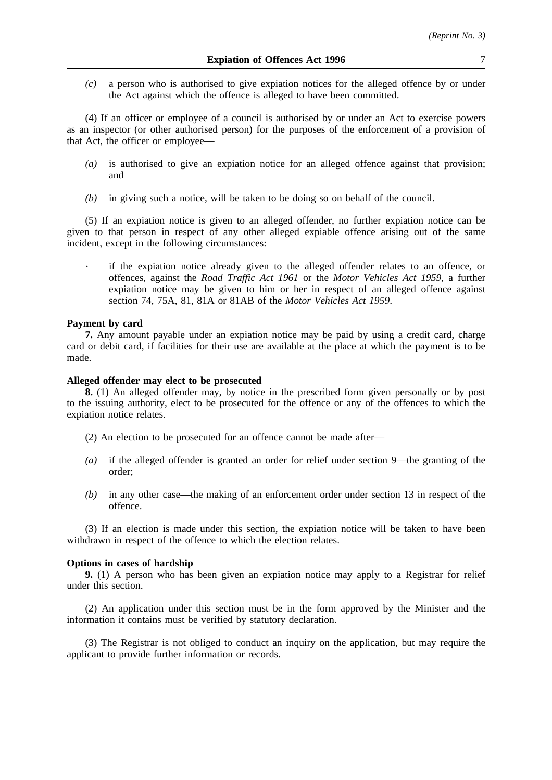*(c)* a person who is authorised to give expiation notices for the alleged offence by or under the Act against which the offence is alleged to have been committed.

(4) If an officer or employee of a council is authorised by or under an Act to exercise powers as an inspector (or other authorised person) for the purposes of the enforcement of a provision of that Act, the officer or employee—

- *(a)* is authorised to give an expiation notice for an alleged offence against that provision; and
- *(b)* in giving such a notice, will be taken to be doing so on behalf of the council.

(5) If an expiation notice is given to an alleged offender, no further expiation notice can be given to that person in respect of any other alleged expiable offence arising out of the same incident, except in the following circumstances:

if the expiation notice already given to the alleged offender relates to an offence, or offences, against the *Road Traffic Act 1961* or the *Motor Vehicles Act 1959*, a further expiation notice may be given to him or her in respect of an alleged offence against section 74, 75A, 81, 81A or 81AB of the *Motor Vehicles Act 1959*.

#### **Payment by card**

**7.** Any amount payable under an expiation notice may be paid by using a credit card, charge card or debit card, if facilities for their use are available at the place at which the payment is to be made.

## **Alleged offender may elect to be prosecuted**

**8.** (1) An alleged offender may, by notice in the prescribed form given personally or by post to the issuing authority, elect to be prosecuted for the offence or any of the offences to which the expiation notice relates.

(2) An election to be prosecuted for an offence cannot be made after—

- *(a)* if the alleged offender is granted an order for relief under section 9—the granting of the order;
- *(b)* in any other case—the making of an enforcement order under section 13 in respect of the offence.

(3) If an election is made under this section, the expiation notice will be taken to have been withdrawn in respect of the offence to which the election relates.

## **Options in cases of hardship**

**9.** (1) A person who has been given an expiation notice may apply to a Registrar for relief under this section.

(2) An application under this section must be in the form approved by the Minister and the information it contains must be verified by statutory declaration.

(3) The Registrar is not obliged to conduct an inquiry on the application, but may require the applicant to provide further information or records.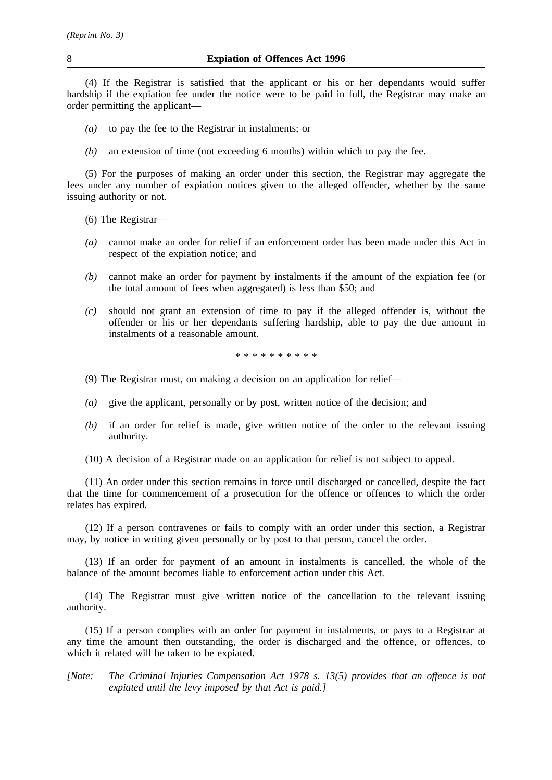(4) If the Registrar is satisfied that the applicant or his or her dependants would suffer hardship if the expiation fee under the notice were to be paid in full, the Registrar may make an order permitting the applicant—

- *(a)* to pay the fee to the Registrar in instalments; or
- *(b)* an extension of time (not exceeding 6 months) within which to pay the fee.

(5) For the purposes of making an order under this section, the Registrar may aggregate the fees under any number of expiation notices given to the alleged offender, whether by the same issuing authority or not.

- (6) The Registrar—
- *(a)* cannot make an order for relief if an enforcement order has been made under this Act in respect of the expiation notice; and
- *(b)* cannot make an order for payment by instalments if the amount of the expiation fee (or the total amount of fees when aggregated) is less than \$50; and
- *(c)* should not grant an extension of time to pay if the alleged offender is, without the offender or his or her dependants suffering hardship, able to pay the due amount in instalments of a reasonable amount.

\*\*\*\*\*\*\*\*\*\*

- (9) The Registrar must, on making a decision on an application for relief—
- *(a)* give the applicant, personally or by post, written notice of the decision; and
- *(b)* if an order for relief is made, give written notice of the order to the relevant issuing authority.
- (10) A decision of a Registrar made on an application for relief is not subject to appeal.

(11) An order under this section remains in force until discharged or cancelled, despite the fact that the time for commencement of a prosecution for the offence or offences to which the order relates has expired.

(12) If a person contravenes or fails to comply with an order under this section, a Registrar may, by notice in writing given personally or by post to that person, cancel the order.

(13) If an order for payment of an amount in instalments is cancelled, the whole of the balance of the amount becomes liable to enforcement action under this Act.

(14) The Registrar must give written notice of the cancellation to the relevant issuing authority.

(15) If a person complies with an order for payment in instalments, or pays to a Registrar at any time the amount then outstanding, the order is discharged and the offence, or offences, to which it related will be taken to be expiated.

*[Note: The Criminal Injuries Compensation Act 1978 s. 13(5) provides that an offence is not expiated until the levy imposed by that Act is paid.]*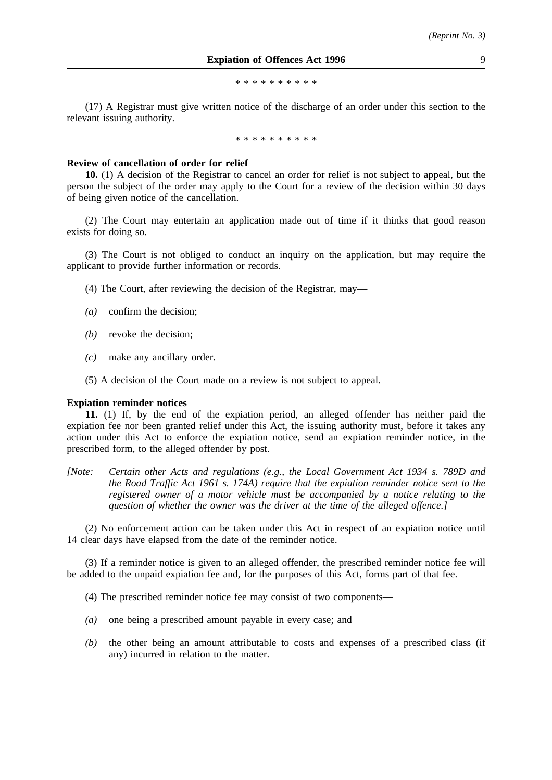\*\*\*\*\*\*\*\*\*\*

(17) A Registrar must give written notice of the discharge of an order under this section to the relevant issuing authority.

\*\*\*\*\*\*\*\*\*\*

#### **Review of cancellation of order for relief**

**10.** (1) A decision of the Registrar to cancel an order for relief is not subject to appeal, but the person the subject of the order may apply to the Court for a review of the decision within 30 days of being given notice of the cancellation.

(2) The Court may entertain an application made out of time if it thinks that good reason exists for doing so.

(3) The Court is not obliged to conduct an inquiry on the application, but may require the applicant to provide further information or records.

- (4) The Court, after reviewing the decision of the Registrar, may—
- *(a)* confirm the decision;
- *(b)* revoke the decision;
- *(c)* make any ancillary order.
- (5) A decision of the Court made on a review is not subject to appeal.

#### **Expiation reminder notices**

**11.** (1) If, by the end of the expiation period, an alleged offender has neither paid the expiation fee nor been granted relief under this Act, the issuing authority must, before it takes any action under this Act to enforce the expiation notice, send an expiation reminder notice, in the prescribed form, to the alleged offender by post.

*[Note: Certain other Acts and regulations (e.g., the Local Government Act 1934 s. 789D and the Road Traffic Act 1961 s. 174A) require that the expiation reminder notice sent to the registered owner of a motor vehicle must be accompanied by a notice relating to the question of whether the owner was the driver at the time of the alleged offence.]*

(2) No enforcement action can be taken under this Act in respect of an expiation notice until 14 clear days have elapsed from the date of the reminder notice.

(3) If a reminder notice is given to an alleged offender, the prescribed reminder notice fee will be added to the unpaid expiation fee and, for the purposes of this Act, forms part of that fee.

(4) The prescribed reminder notice fee may consist of two components—

- *(a)* one being a prescribed amount payable in every case; and
- *(b)* the other being an amount attributable to costs and expenses of a prescribed class (if any) incurred in relation to the matter.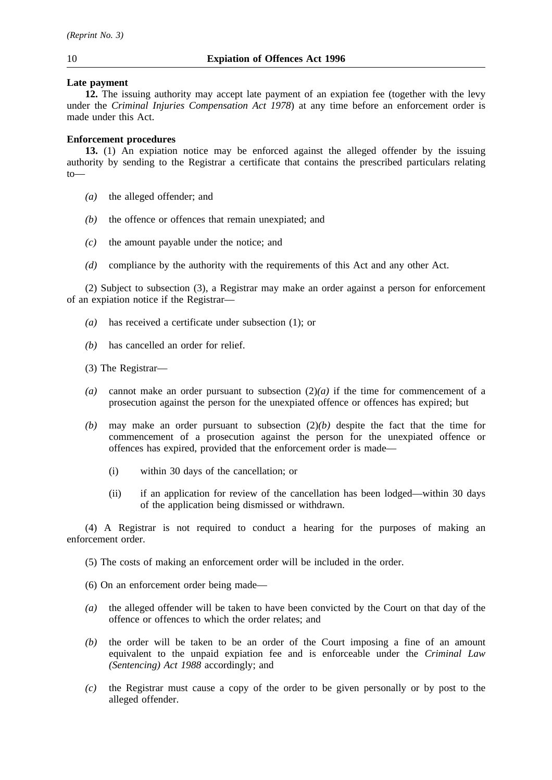## **Late payment**

**12.** The issuing authority may accept late payment of an expiation fee (together with the levy under the *Criminal Injuries Compensation Act 1978*) at any time before an enforcement order is made under this Act.

# **Enforcement procedures**

**13.** (1) An expiation notice may be enforced against the alleged offender by the issuing authority by sending to the Registrar a certificate that contains the prescribed particulars relating  $t_0$ 

- *(a)* the alleged offender; and
- *(b)* the offence or offences that remain unexpiated; and
- *(c)* the amount payable under the notice; and
- *(d)* compliance by the authority with the requirements of this Act and any other Act.

(2) Subject to subsection (3), a Registrar may make an order against a person for enforcement of an expiation notice if the Registrar—

- *(a)* has received a certificate under subsection (1); or
- *(b)* has cancelled an order for relief.

(3) The Registrar—

- *(a)* cannot make an order pursuant to subsection (2)*(a)* if the time for commencement of a prosecution against the person for the unexpiated offence or offences has expired; but
- *(b)* may make an order pursuant to subsection (2)*(b)* despite the fact that the time for commencement of a prosecution against the person for the unexpiated offence or offences has expired, provided that the enforcement order is made—
	- (i) within 30 days of the cancellation; or
	- (ii) if an application for review of the cancellation has been lodged—within 30 days of the application being dismissed or withdrawn.

(4) A Registrar is not required to conduct a hearing for the purposes of making an enforcement order.

(5) The costs of making an enforcement order will be included in the order.

- (6) On an enforcement order being made—
- *(a)* the alleged offender will be taken to have been convicted by the Court on that day of the offence or offences to which the order relates; and
- *(b)* the order will be taken to be an order of the Court imposing a fine of an amount equivalent to the unpaid expiation fee and is enforceable under the *Criminal Law (Sentencing) Act 1988* accordingly; and
- *(c)* the Registrar must cause a copy of the order to be given personally or by post to the alleged offender.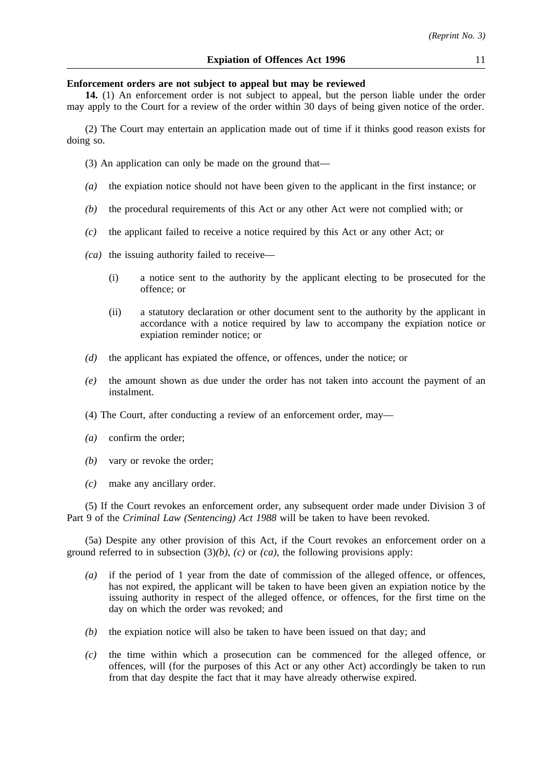## **Enforcement orders are not subject to appeal but may be reviewed**

**14.** (1) An enforcement order is not subject to appeal, but the person liable under the order may apply to the Court for a review of the order within 30 days of being given notice of the order.

(2) The Court may entertain an application made out of time if it thinks good reason exists for doing so.

(3) An application can only be made on the ground that—

- *(a)* the expiation notice should not have been given to the applicant in the first instance; or
- *(b)* the procedural requirements of this Act or any other Act were not complied with; or
- *(c)* the applicant failed to receive a notice required by this Act or any other Act; or
- *(ca)* the issuing authority failed to receive—
	- (i) a notice sent to the authority by the applicant electing to be prosecuted for the offence; or
	- (ii) a statutory declaration or other document sent to the authority by the applicant in accordance with a notice required by law to accompany the expiation notice or expiation reminder notice; or
- *(d)* the applicant has expiated the offence, or offences, under the notice; or
- *(e)* the amount shown as due under the order has not taken into account the payment of an instalment.
- (4) The Court, after conducting a review of an enforcement order, may—
- *(a)* confirm the order;
- *(b)* vary or revoke the order;
- *(c)* make any ancillary order.

(5) If the Court revokes an enforcement order, any subsequent order made under Division 3 of Part 9 of the *Criminal Law (Sentencing) Act 1988* will be taken to have been revoked.

(5a) Despite any other provision of this Act, if the Court revokes an enforcement order on a ground referred to in subsection (3)*(b)*, *(c)* or *(ca)*, the following provisions apply:

- *(a)* if the period of 1 year from the date of commission of the alleged offence, or offences, has not expired, the applicant will be taken to have been given an expiation notice by the issuing authority in respect of the alleged offence, or offences, for the first time on the day on which the order was revoked; and
- *(b)* the expiation notice will also be taken to have been issued on that day; and
- *(c)* the time within which a prosecution can be commenced for the alleged offence, or offences, will (for the purposes of this Act or any other Act) accordingly be taken to run from that day despite the fact that it may have already otherwise expired.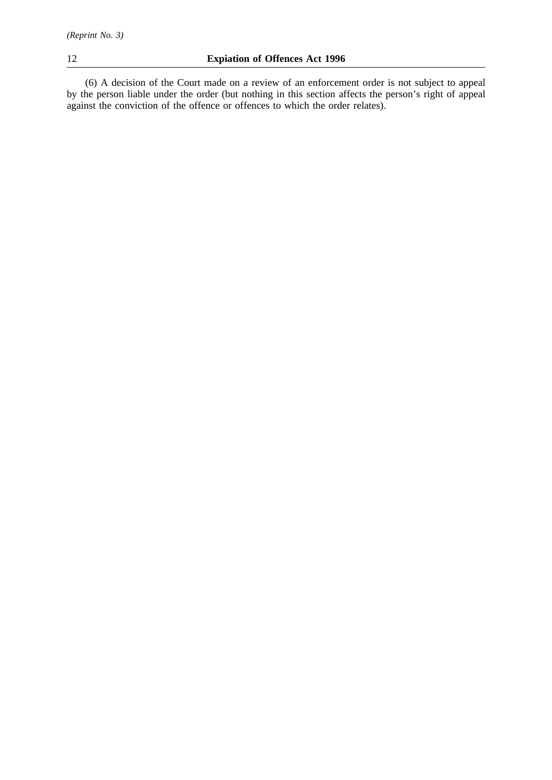(6) A decision of the Court made on a review of an enforcement order is not subject to appeal by the person liable under the order (but nothing in this section affects the person's right of appeal against the conviction of the offence or offences to which the order relates).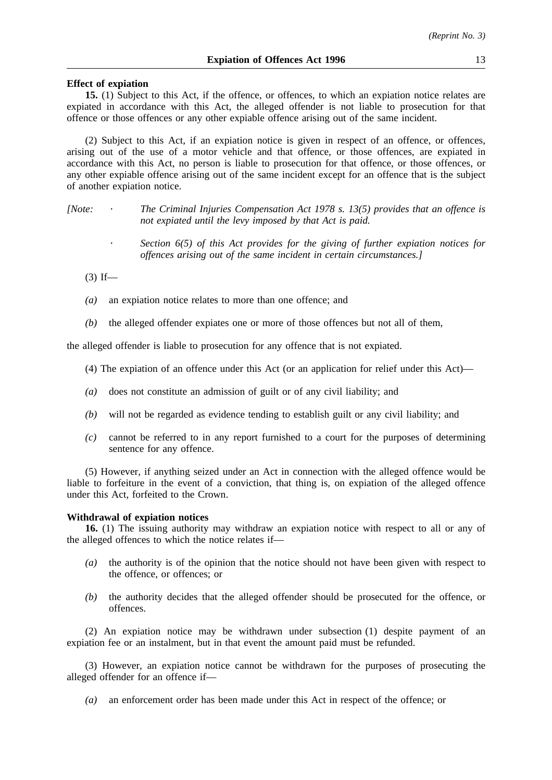## **Effect of expiation**

**15.** (1) Subject to this Act, if the offence, or offences, to which an expiation notice relates are expiated in accordance with this Act, the alleged offender is not liable to prosecution for that offence or those offences or any other expiable offence arising out of the same incident.

(2) Subject to this Act, if an expiation notice is given in respect of an offence, or offences, arising out of the use of a motor vehicle and that offence, or those offences, are expiated in accordance with this Act, no person is liable to prosecution for that offence, or those offences, or any other expiable offence arising out of the same incident except for an offence that is the subject of another expiation notice.

*[Note: The Criminal Injuries Compensation Act 1978 s. 13(5) provides that an offence is not expiated until the levy imposed by that Act is paid.*

> *Section 6(5) of this Act provides for the giving of further expiation notices for offences arising out of the same incident in certain circumstances.]*

 $(3)$  If—

- *(a)* an expiation notice relates to more than one offence; and
- *(b)* the alleged offender expiates one or more of those offences but not all of them,

the alleged offender is liable to prosecution for any offence that is not expiated.

- (4) The expiation of an offence under this Act (or an application for relief under this Act)—
- *(a)* does not constitute an admission of guilt or of any civil liability; and
- *(b)* will not be regarded as evidence tending to establish guilt or any civil liability; and
- *(c)* cannot be referred to in any report furnished to a court for the purposes of determining sentence for any offence.

(5) However, if anything seized under an Act in connection with the alleged offence would be liable to forfeiture in the event of a conviction, that thing is, on expiation of the alleged offence under this Act, forfeited to the Crown.

## **Withdrawal of expiation notices**

**16.** (1) The issuing authority may withdraw an expiation notice with respect to all or any of the alleged offences to which the notice relates if—

- *(a)* the authority is of the opinion that the notice should not have been given with respect to the offence, or offences; or
- *(b)* the authority decides that the alleged offender should be prosecuted for the offence, or offences.

(2) An expiation notice may be withdrawn under subsection (1) despite payment of an expiation fee or an instalment, but in that event the amount paid must be refunded.

(3) However, an expiation notice cannot be withdrawn for the purposes of prosecuting the alleged offender for an offence if—

*(a)* an enforcement order has been made under this Act in respect of the offence; or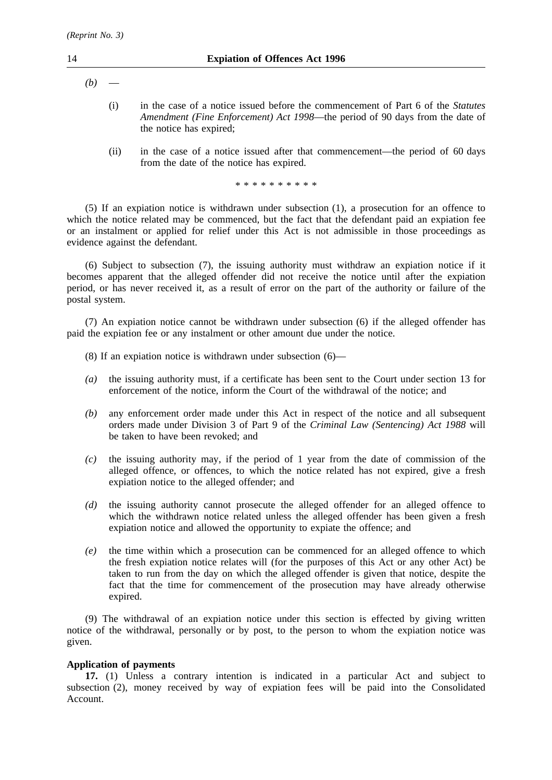- $(b)$ 
	- (i) in the case of a notice issued before the commencement of Part 6 of the *Statutes Amendment (Fine Enforcement) Act 1998*—the period of 90 days from the date of the notice has expired;
	- (ii) in the case of a notice issued after that commencement—the period of 60 days from the date of the notice has expired.

\*\*\*\*\*\*\*\*\*\*

(5) If an expiation notice is withdrawn under subsection (1), a prosecution for an offence to which the notice related may be commenced, but the fact that the defendant paid an expiation fee or an instalment or applied for relief under this Act is not admissible in those proceedings as evidence against the defendant.

(6) Subject to subsection (7), the issuing authority must withdraw an expiation notice if it becomes apparent that the alleged offender did not receive the notice until after the expiation period, or has never received it, as a result of error on the part of the authority or failure of the postal system.

(7) An expiation notice cannot be withdrawn under subsection (6) if the alleged offender has paid the expiation fee or any instalment or other amount due under the notice.

- (8) If an expiation notice is withdrawn under subsection (6)—
- *(a)* the issuing authority must, if a certificate has been sent to the Court under section 13 for enforcement of the notice, inform the Court of the withdrawal of the notice; and
- *(b)* any enforcement order made under this Act in respect of the notice and all subsequent orders made under Division 3 of Part 9 of the *Criminal Law (Sentencing) Act 1988* will be taken to have been revoked; and
- *(c)* the issuing authority may, if the period of 1 year from the date of commission of the alleged offence, or offences, to which the notice related has not expired, give a fresh expiation notice to the alleged offender; and
- *(d)* the issuing authority cannot prosecute the alleged offender for an alleged offence to which the withdrawn notice related unless the alleged offender has been given a fresh expiation notice and allowed the opportunity to expiate the offence; and
- *(e)* the time within which a prosecution can be commenced for an alleged offence to which the fresh expiation notice relates will (for the purposes of this Act or any other Act) be taken to run from the day on which the alleged offender is given that notice, despite the fact that the time for commencement of the prosecution may have already otherwise expired.

(9) The withdrawal of an expiation notice under this section is effected by giving written notice of the withdrawal, personally or by post, to the person to whom the expiation notice was given.

## **Application of payments**

**17.** (1) Unless a contrary intention is indicated in a particular Act and subject to subsection (2), money received by way of expiation fees will be paid into the Consolidated Account.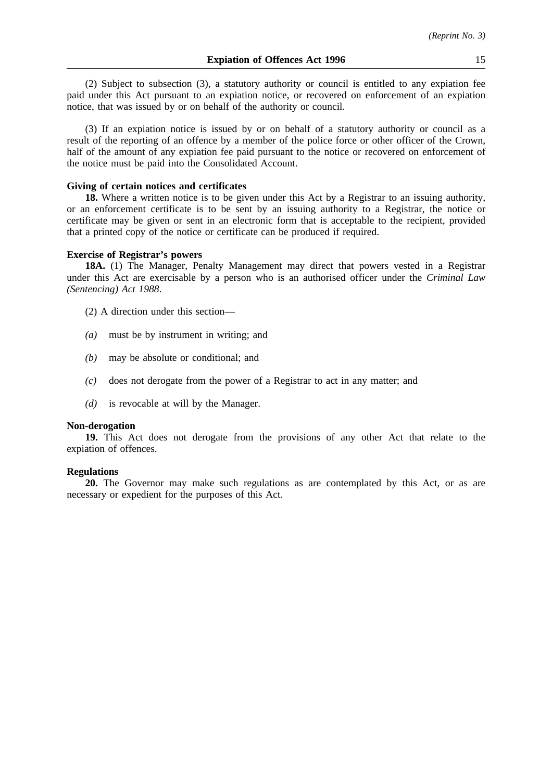(2) Subject to subsection (3), a statutory authority or council is entitled to any expiation fee paid under this Act pursuant to an expiation notice, or recovered on enforcement of an expiation notice, that was issued by or on behalf of the authority or council.

(3) If an expiation notice is issued by or on behalf of a statutory authority or council as a result of the reporting of an offence by a member of the police force or other officer of the Crown, half of the amount of any expiation fee paid pursuant to the notice or recovered on enforcement of the notice must be paid into the Consolidated Account.

## **Giving of certain notices and certificates**

**18.** Where a written notice is to be given under this Act by a Registrar to an issuing authority, or an enforcement certificate is to be sent by an issuing authority to a Registrar, the notice or certificate may be given or sent in an electronic form that is acceptable to the recipient, provided that a printed copy of the notice or certificate can be produced if required.

## **Exercise of Registrar's powers**

**18A.** (1) The Manager, Penalty Management may direct that powers vested in a Registrar under this Act are exercisable by a person who is an authorised officer under the *Criminal Law (Sentencing) Act 1988*.

- (2) A direction under this section—
- *(a)* must be by instrument in writing; and
- *(b)* may be absolute or conditional; and
- *(c)* does not derogate from the power of a Registrar to act in any matter; and
- *(d)* is revocable at will by the Manager.

## **Non-derogation**

**19.** This Act does not derogate from the provisions of any other Act that relate to the expiation of offences.

## **Regulations**

**20.** The Governor may make such regulations as are contemplated by this Act, or as are necessary or expedient for the purposes of this Act.